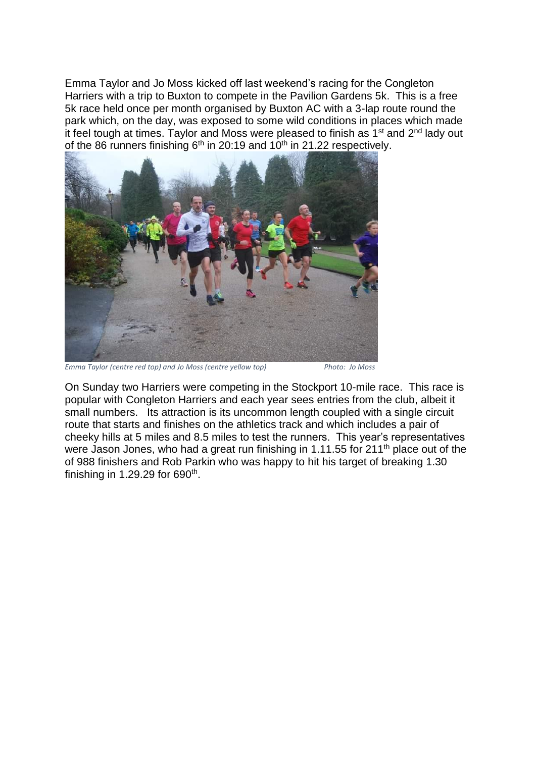Emma Taylor and Jo Moss kicked off last weekend's racing for the Congleton Harriers with a trip to Buxton to compete in the Pavilion Gardens 5k. This is a free 5k race held once per month organised by Buxton AC with a 3-lap route round the park which, on the day, was exposed to some wild conditions in places which made it feel tough at times. Taylor and Moss were pleased to finish as 1st and 2nd lady out of the 86 runners finishing  $6<sup>th</sup>$  in 20:19 and 10<sup>th</sup> in 21.22 respectively.



*Emma Taylor (centre red top) and Jo Moss (centre yellow top) Photo: Jo Moss*

On Sunday two Harriers were competing in the Stockport 10-mile race. This race is popular with Congleton Harriers and each year sees entries from the club, albeit it small numbers. Its attraction is its uncommon length coupled with a single circuit route that starts and finishes on the athletics track and which includes a pair of cheeky hills at 5 miles and 8.5 miles to test the runners. This year's representatives were Jason Jones, who had a great run finishing in 1.11.55 for 211<sup>th</sup> place out of the of 988 finishers and Rob Parkin who was happy to hit his target of breaking 1.30 finishing in 1.29.29 for  $690<sup>th</sup>$ .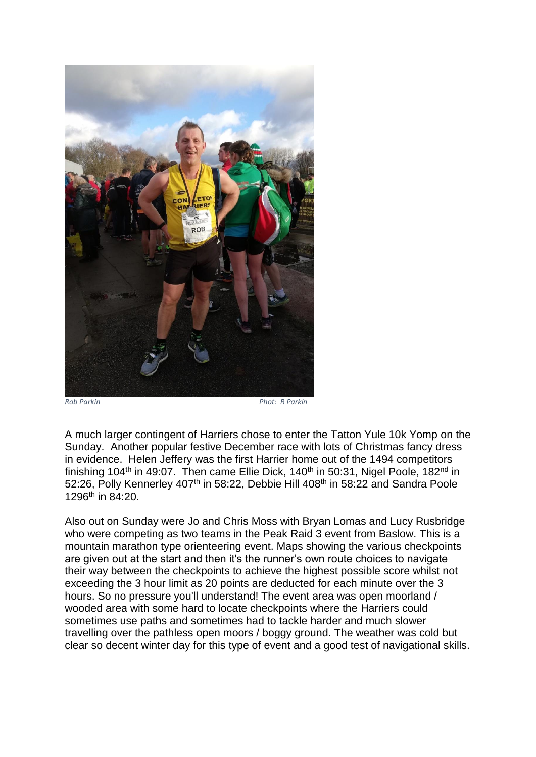

*Rob Parkin Phot: R Parkin*

A much larger contingent of Harriers chose to enter the Tatton Yule 10k Yomp on the Sunday. Another popular festive December race with lots of Christmas fancy dress in evidence. Helen Jeffery was the first Harrier home out of the 1494 competitors finishing 104<sup>th</sup> in 49:07. Then came Ellie Dick, 140<sup>th</sup> in 50:31, Nigel Poole, 182<sup>nd</sup> in 52:26, Polly Kennerley 407<sup>th</sup> in 58:22, Debbie Hill 408<sup>th</sup> in 58:22 and Sandra Poole 1296th in 84:20.

Also out on Sunday were Jo and Chris Moss with Bryan Lomas and Lucy Rusbridge who were competing as two teams in the Peak Raid 3 event from Baslow. This is a mountain marathon type orienteering event. Maps showing the various checkpoints are given out at the start and then it's the runner's own route choices to navigate their way between the checkpoints to achieve the highest possible score whilst not exceeding the 3 hour limit as 20 points are deducted for each minute over the 3 hours. So no pressure you'll understand! The event area was open moorland / wooded area with some hard to locate checkpoints where the Harriers could sometimes use paths and sometimes had to tackle harder and much slower travelling over the pathless open moors / boggy ground. The weather was cold but clear so decent winter day for this type of event and a good test of navigational skills.